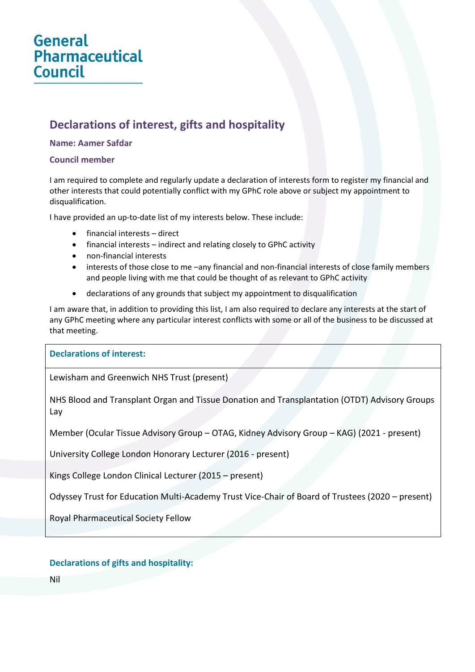# **General Pharmaceutical Council**

# **Declarations of interest, gifts and hospitality**

#### **Name: Aamer Safdar**

#### **Council member**

I am required to complete and regularly update a declaration of interests form to register my financial and other interests that could potentially conflict with my GPhC role above or subject my appointment to disqualification.

I have provided an up-to-date list of my interests below. These include:

- financial interests direct
- financial interests indirect and relating closely to GPhC activity
- non-financial interests
- interests of those close to me –any financial and non-financial interests of close family members and people living with me that could be thought of as relevant to GPhC activity
- declarations of any grounds that subject my appointment to disqualification

I am aware that, in addition to providing this list, I am also required to declare any interests at the start of any GPhC meeting where any particular interest conflicts with some or all of the business to be discussed at that meeting.

#### **Declarations of interest:**

Lewisham and Greenwich NHS Trust (present)

NHS Blood and Transplant Organ and Tissue Donation and Transplantation (OTDT) Advisory Groups Lay

Member (Ocular Tissue Advisory Group – OTAG, Kidney Advisory Group – KAG) (2021 - present)

University College London Honorary Lecturer (2016 - present)

Kings College London Clinical Lecturer (2015 – present)

Odyssey Trust for Education Multi-Academy Trust Vice-Chair of Board of Trustees (2020 – present)

Royal Pharmaceutical Society Fellow

## **Declarations of gifts and hospitality:**

Nil